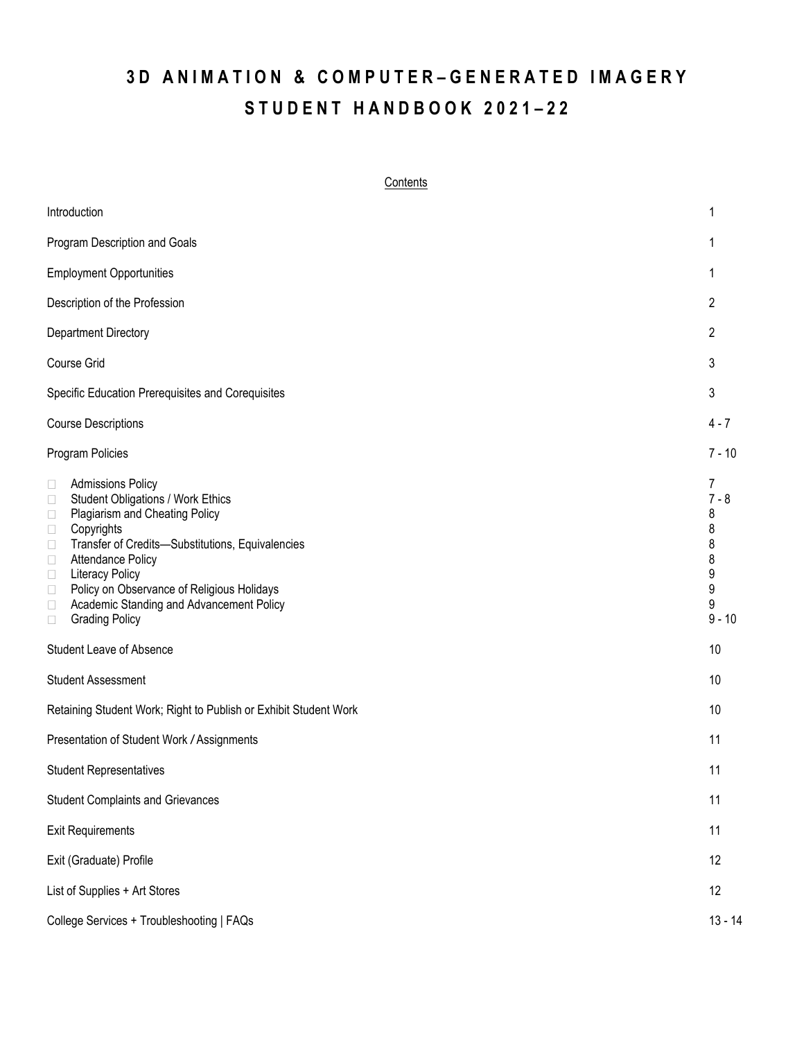# **3 D A N I M A T I O N & C O M P U T E R – G E N E R A T E D I M A G E R Y S T U D E N T H A N D B O O K 2 0 2 1 – 2 2**

## **Contents**

| Introduction                                                                                                                                                                                                                                                                                                                                                                                                                                   | 1                                                           |
|------------------------------------------------------------------------------------------------------------------------------------------------------------------------------------------------------------------------------------------------------------------------------------------------------------------------------------------------------------------------------------------------------------------------------------------------|-------------------------------------------------------------|
| Program Description and Goals                                                                                                                                                                                                                                                                                                                                                                                                                  | 1                                                           |
| <b>Employment Opportunities</b>                                                                                                                                                                                                                                                                                                                                                                                                                | 1                                                           |
| Description of the Profession                                                                                                                                                                                                                                                                                                                                                                                                                  | 2                                                           |
| Department Directory                                                                                                                                                                                                                                                                                                                                                                                                                           | $\overline{2}$                                              |
| Course Grid                                                                                                                                                                                                                                                                                                                                                                                                                                    | 3                                                           |
| Specific Education Prerequisites and Corequisites                                                                                                                                                                                                                                                                                                                                                                                              | 3                                                           |
| <b>Course Descriptions</b>                                                                                                                                                                                                                                                                                                                                                                                                                     | $4 - 7$                                                     |
| Program Policies                                                                                                                                                                                                                                                                                                                                                                                                                               | $7 - 10$                                                    |
| <b>Admissions Policy</b><br>$\Box$<br><b>Student Obligations / Work Ethics</b><br>$\Box$<br>Plagiarism and Cheating Policy<br>$\Box$<br>Copyrights<br>$\Box$<br>Transfer of Credits-Substitutions, Equivalencies<br>$\Box$<br><b>Attendance Policy</b><br>$\Box$<br>Literacy Policy<br>$\Box$<br>Policy on Observance of Religious Holidays<br>$\Box$<br>Academic Standing and Advancement Policy<br>$\Box$<br><b>Grading Policy</b><br>$\Box$ | 7<br>$7 - 8$<br>8<br>8<br>8<br>8<br>9<br>9<br>9<br>$9 - 10$ |
| Student Leave of Absence                                                                                                                                                                                                                                                                                                                                                                                                                       | 10                                                          |
| <b>Student Assessment</b>                                                                                                                                                                                                                                                                                                                                                                                                                      | 10                                                          |
| Retaining Student Work; Right to Publish or Exhibit Student Work                                                                                                                                                                                                                                                                                                                                                                               | 10                                                          |
| Presentation of Student Work / Assignments                                                                                                                                                                                                                                                                                                                                                                                                     | 11                                                          |
| <b>Student Representatives</b>                                                                                                                                                                                                                                                                                                                                                                                                                 | 11                                                          |
| <b>Student Complaints and Grievances</b>                                                                                                                                                                                                                                                                                                                                                                                                       | 11                                                          |
| <b>Exit Requirements</b>                                                                                                                                                                                                                                                                                                                                                                                                                       | 11                                                          |
| Exit (Graduate) Profile                                                                                                                                                                                                                                                                                                                                                                                                                        | 12                                                          |
| List of Supplies + Art Stores                                                                                                                                                                                                                                                                                                                                                                                                                  | 12                                                          |
| College Services + Troubleshooting   FAQs                                                                                                                                                                                                                                                                                                                                                                                                      | $13 - 14$                                                   |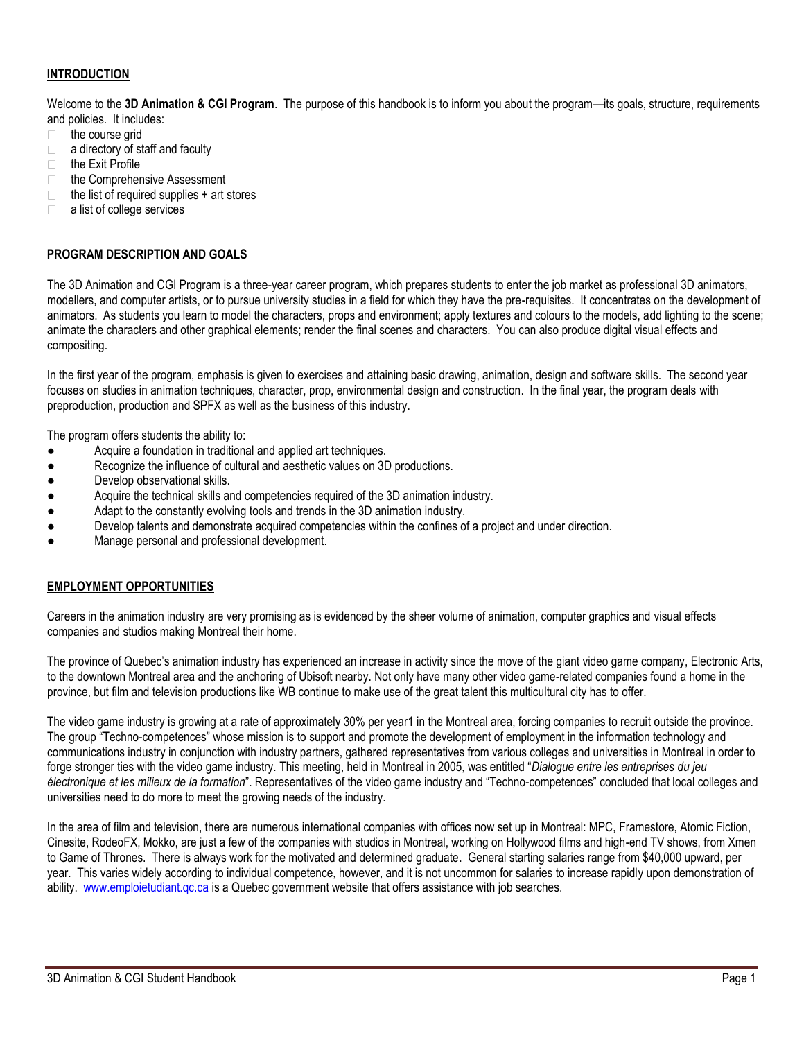# **INTRODUCTION**

Welcome to the **3D Animation & CGI Program**. The purpose of this handbook is to inform you about the program—its goals, structure, requirements and policies. It includes:

- the course grid  $\Box$
- $\Box$  a directory of staff and faculty
- $\Box$  the Exit Profile
- □ the Comprehensive Assessment
- $\Box$ the list of required supplies + art stores
- a list of college services

## **PROGRAM DESCRIPTION AND GOALS**

The 3D Animation and CGI Program is a three-year career program, which prepares students to enter the job market as professional 3D animators, modellers, and computer artists, or to pursue university studies in a field for which they have the pre-requisites. It concentrates on the development of animators. As students you learn to model the characters, props and environment; apply textures and colours to the models, add lighting to the scene; animate the characters and other graphical elements; render the final scenes and characters. You can also produce digital visual effects and compositing.

In the first year of the program, emphasis is given to exercises and attaining basic drawing, animation, design and software skills. The second year focuses on studies in animation techniques, character, prop, environmental design and construction. In the final year, the program deals with preproduction, production and SPFX as well as the business of this industry.

The program offers students the ability to:

- Acquire a foundation in traditional and applied art techniques.
- Recognize the influence of cultural and aesthetic values on 3D productions.
- Develop observational skills.
- Acquire the technical skills and competencies required of the 3D animation industry.
- Adapt to the constantly evolving tools and trends in the 3D animation industry.
- Develop talents and demonstrate acquired competencies within the confines of a project and under direction.
- Manage personal and professional development.

#### **EMPLOYMENT OPPORTUNITIES**

Careers in the animation industry are very promising as is evidenced by the sheer volume of animation, computer graphics and visual effects companies and studios making Montreal their home.

The province of Quebec's animation industry has experienced an increase in activity since the move of the giant video game company, Electronic Arts, to the downtown Montreal area and the anchoring of Ubisoft nearby. Not only have many other video game-related companies found a home in the province, but film and television productions like WB continue to make use of the great talent this multicultural city has to offer.

The video game industry is growing at a rate of approximately 30% per year1 in the Montreal area, forcing companies to recruit outside the province. The group "Techno-competences" whose mission is to support and promote the development of employment in the information technology and communications industry in conjunction with industry partners, gathered representatives from various colleges and universities in Montreal in order to forge stronger ties with the video game industry. This meeting, held in Montreal in 2005, was entitled "*Dialogue entre les entreprises du jeu électronique et les milieux de la formation*". Representatives of the video game industry and "Techno-competences" concluded that local colleges and universities need to do more to meet the growing needs of the industry.

In the area of film and television, there are numerous international companies with offices now set up in Montreal: MPC, Framestore, Atomic Fiction, Cinesite, RodeoFX, Mokko, are just a few of the companies with studios in Montreal, working on Hollywood films and high-end TV shows, from Xmen to Game of Thrones. There is always work for the motivated and determined graduate. General starting salaries range from \$40,000 upward, per year. This varies widely according to individual competence, however, and it is not uncommon for salaries to increase rapidly upon demonstration of ability. www.emploietudiant.qc.ca is a Quebec government website that offers assistance with job searches.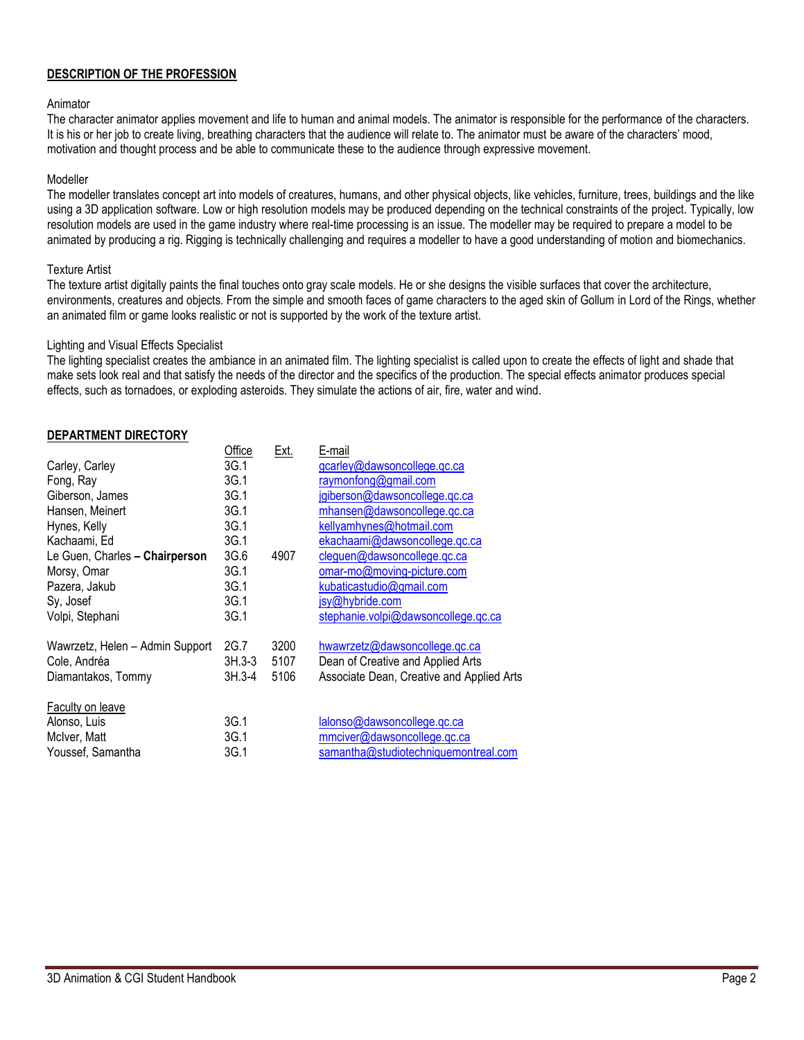# **DESCRIPTION OF THE PROFESSION**

#### Animator

The character animator applies movement and life to human and animal models. The animator is responsible for the performance of the characters. It is his or her job to create living, breathing characters that the audience will relate to. The animator must be aware of the characters' mood, motivation and thought process and be able to communicate these to the audience through expressive movement.

## Modeller

The modeller translates concept art into models of creatures, humans, and other physical objects, like vehicles, furniture, trees, buildings and the like using a 3D application software. Low or high resolution models may be produced depending on the technical constraints of the project. Typically, low resolution models are used in the game industry where real-time processing is an issue. The modeller may be required to prepare a model to be animated by producing a rig. Rigging is technically challenging and requires a modeller to have a good understanding of motion and biomechanics.

#### Texture Artist

The texture artist digitally paints the final touches onto gray scale models. He or she designs the visible surfaces that cover the architecture, environments, creatures and objects. From the simple and smooth faces of game characters to the aged skin of Gollum in Lord of the Rings, whether an animated film or game looks realistic or not is supported by the work of the texture artist.

#### Lighting and Visual Effects Specialist

The lighting specialist creates the ambiance in an animated film. The lighting specialist is called upon to create the effects of light and shade that make sets look real and that satisfy the needs of the director and the specifics of the production. The special effects animator produces special effects, such as tornadoes, or exploding asteroids. They simulate the actions of air, fire, water and wind.

## **DEPARTMENT DIRECTORY**

|                                 | Office   | <u>Ext.</u> | E-mail                                    |
|---------------------------------|----------|-------------|-------------------------------------------|
| Carley, Carley                  | 3G.1     |             | gcarley@dawsoncollege.qc.ca               |
| Fong, Ray                       | 3G.1     |             | raymonfong@gmail.com                      |
| Giberson, James                 | 3G.1     |             | jgiberson@dawsoncollege.qc.ca             |
| Hansen, Meinert                 | 3G.1     |             | mhansen@dawsoncollege.qc.ca               |
| Hynes, Kelly                    | 3G.1     |             | kellyamhynes@hotmail.com                  |
| Kachaami, Ed                    | 3G.1     |             | ekachaami@dawsoncollege.qc.ca             |
| Le Guen, Charles - Chairperson  | 3G.6     | 4907        | cleguen@dawsoncollege.qc.ca               |
| Morsy, Omar                     | 3G.1     |             | omar-mo@moving-picture.com                |
| Pazera, Jakub                   | 3G.1     |             | kubaticastudio@gmail.com                  |
| Sy, Josef                       | 3G.1     |             | jsy@hybride.com                           |
| Volpi, Stephani                 | 3G.1     |             | stephanie.volpi@dawsoncollege.qc.ca       |
| Wawrzetz, Helen - Admin Support | 2G.7     | 3200        | hwawrzetz@dawsoncollege.gc.ca             |
| Cole, Andréa                    | $3H.3-3$ | 5107        | Dean of Creative and Applied Arts         |
| Diamantakos, Tommy              | 3H.3-4   | 5106        | Associate Dean, Creative and Applied Arts |
| Faculty on leave                |          |             |                                           |
| Alonso, Luis                    | 3G.1     |             | lalonso@dawsoncollege.qc.ca               |
| McIver, Matt                    | 3G.1     |             | mmciver@dawsoncollege.gc.ca               |
| Youssef. Samantha               | 3G.1     |             | samantha@studiotechniquemontreal.com      |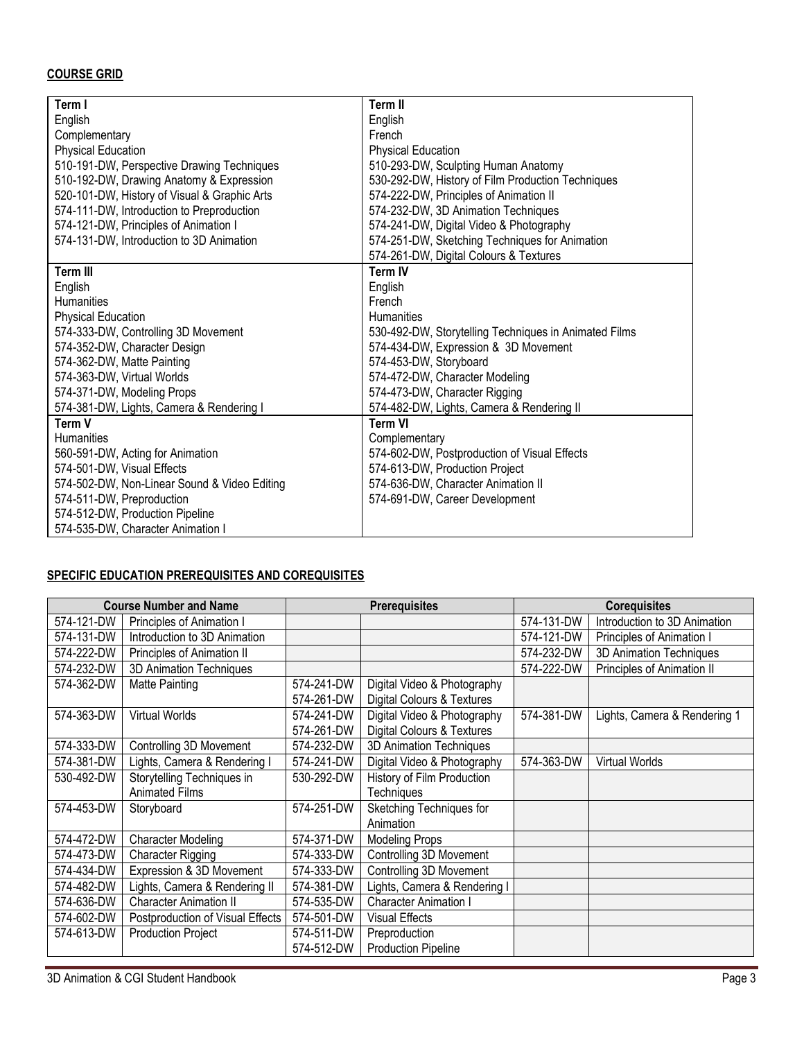# **COURSE GRID**

| Term I                                       | <b>Term II</b>                                        |
|----------------------------------------------|-------------------------------------------------------|
| English                                      | English                                               |
| Complementary                                | French                                                |
| <b>Physical Education</b>                    | <b>Physical Education</b>                             |
| 510-191-DW, Perspective Drawing Techniques   | 510-293-DW, Sculpting Human Anatomy                   |
| 510-192-DW, Drawing Anatomy & Expression     | 530-292-DW, History of Film Production Techniques     |
| 520-101-DW, History of Visual & Graphic Arts | 574-222-DW, Principles of Animation II                |
| 574-111-DW, Introduction to Preproduction    | 574-232-DW, 3D Animation Techniques                   |
| 574-121-DW, Principles of Animation I        | 574-241-DW, Digital Video & Photography               |
| 574-131-DW, Introduction to 3D Animation     | 574-251-DW, Sketching Techniques for Animation        |
|                                              | 574-261-DW, Digital Colours & Textures                |
| <b>Term III</b>                              | <b>Term IV</b>                                        |
| English                                      | English                                               |
| Humanities                                   | French                                                |
| <b>Physical Education</b>                    | <b>Humanities</b>                                     |
| 574-333-DW, Controlling 3D Movement          | 530-492-DW, Storytelling Techniques in Animated Films |
| 574-352-DW, Character Design                 | 574-434-DW, Expression & 3D Movement                  |
| 574-362-DW, Matte Painting                   | 574-453-DW, Storyboard                                |
| 574-363-DW, Virtual Worlds                   | 574-472-DW, Character Modeling                        |
| 574-371-DW, Modeling Props                   | 574-473-DW, Character Rigging                         |
| 574-381-DW, Lights, Camera & Rendering I     | 574-482-DW, Lights, Camera & Rendering II             |
| Term V                                       | <b>Term VI</b>                                        |
| <b>Humanities</b>                            | Complementary                                         |
| 560-591-DW, Acting for Animation             | 574-602-DW, Postproduction of Visual Effects          |
| 574-501-DW, Visual Effects                   | 574-613-DW, Production Project                        |
| 574-502-DW, Non-Linear Sound & Video Editing | 574-636-DW, Character Animation II                    |
| 574-511-DW, Preproduction                    | 574-691-DW, Career Development                        |
| 574-512-DW, Production Pipeline              |                                                       |
| 574-535-DW, Character Animation I            |                                                       |
|                                              |                                                       |

# **SPECIFIC EDUCATION PREREQUISITES AND COREQUISITES**

|            | <b>Course Number and Name</b>    | <b>Prerequisites</b> |                              |            | <b>Corequisites</b>          |
|------------|----------------------------------|----------------------|------------------------------|------------|------------------------------|
| 574-121-DW | Principles of Animation I        |                      |                              | 574-131-DW | Introduction to 3D Animation |
| 574-131-DW | Introduction to 3D Animation     |                      |                              | 574-121-DW | Principles of Animation I    |
| 574-222-DW | Principles of Animation II       |                      |                              | 574-232-DW | 3D Animation Techniques      |
| 574-232-DW | 3D Animation Techniques          |                      |                              | 574-222-DW | Principles of Animation II   |
| 574-362-DW | Matte Painting                   | 574-241-DW           | Digital Video & Photography  |            |                              |
|            |                                  | 574-261-DW           | Digital Colours & Textures   |            |                              |
| 574-363-DW | <b>Virtual Worlds</b>            | 574-241-DW           | Digital Video & Photography  | 574-381-DW | Lights, Camera & Rendering 1 |
|            |                                  | 574-261-DW           | Digital Colours & Textures   |            |                              |
| 574-333-DW | Controlling 3D Movement          | 574-232-DW           | 3D Animation Techniques      |            |                              |
| 574-381-DW | Lights, Camera & Rendering I     | 574-241-DW           | Digital Video & Photography  | 574-363-DW | <b>Virtual Worlds</b>        |
| 530-492-DW | Storytelling Techniques in       | 530-292-DW           | History of Film Production   |            |                              |
|            | <b>Animated Films</b>            |                      | Techniques                   |            |                              |
| 574-453-DW | Storyboard                       | 574-251-DW           | Sketching Techniques for     |            |                              |
|            |                                  |                      | Animation                    |            |                              |
| 574-472-DW | <b>Character Modeling</b>        | 574-371-DW           | <b>Modeling Props</b>        |            |                              |
| 574-473-DW | Character Rigging                | 574-333-DW           | Controlling 3D Movement      |            |                              |
| 574-434-DW | Expression & 3D Movement         | 574-333-DW           | Controlling 3D Movement      |            |                              |
| 574-482-DW | Lights, Camera & Rendering II    | 574-381-DW           | Lights, Camera & Rendering I |            |                              |
| 574-636-DW | <b>Character Animation II</b>    | 574-535-DW           | <b>Character Animation I</b> |            |                              |
| 574-602-DW | Postproduction of Visual Effects | 574-501-DW           | <b>Visual Effects</b>        |            |                              |
| 574-613-DW | <b>Production Project</b>        | 574-511-DW           | Preproduction                |            |                              |
|            |                                  | 574-512-DW           | <b>Production Pipeline</b>   |            |                              |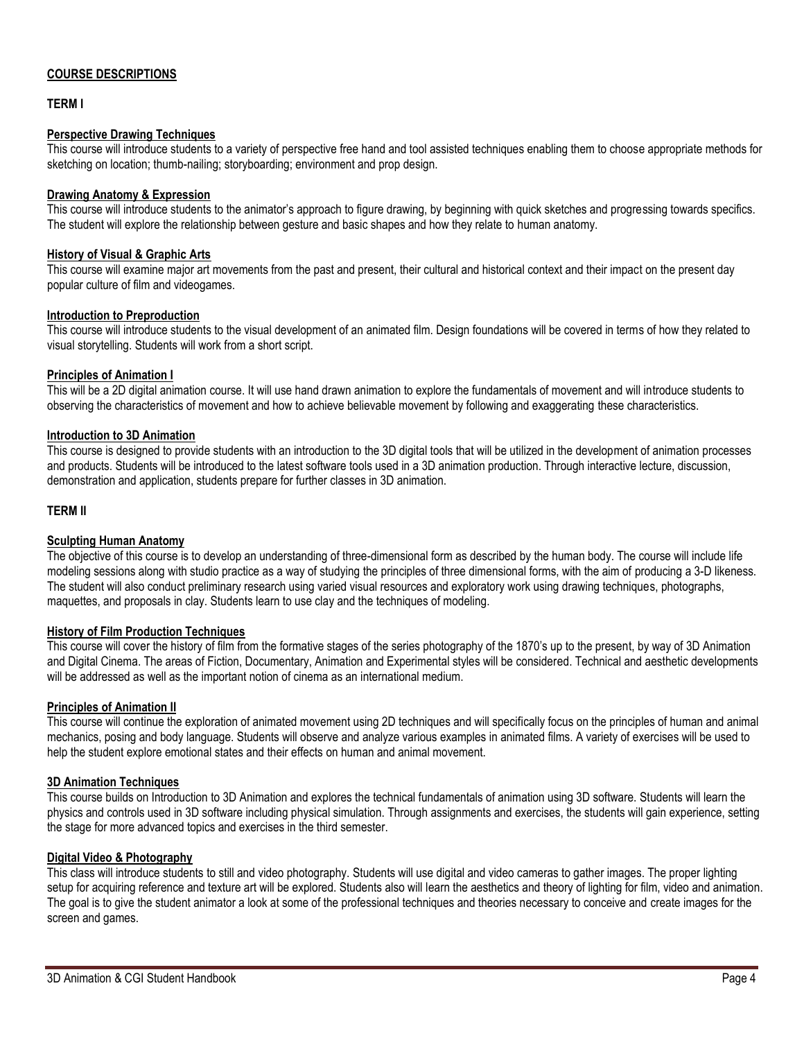## **COURSE DESCRIPTIONS**

## **TERM I**

## **Perspective Drawing Techniques**

This course will introduce students to a variety of perspective free hand and tool assisted techniques enabling them to choose appropriate methods for sketching on location; thumb-nailing; storyboarding; environment and prop design.

#### **Drawing Anatomy & Expression**

This course will introduce students to the animator's approach to figure drawing, by beginning with quick sketches and progressing towards specifics. The student will explore the relationship between gesture and basic shapes and how they relate to human anatomy.

#### **History of Visual & Graphic Arts**

This course will examine major art movements from the past and present, their cultural and historical context and their impact on the present day popular culture of film and videogames.

#### **Introduction to Preproduction**

This course will introduce students to the visual development of an animated film. Design foundations will be covered in terms of how they related to visual storytelling. Students will work from a short script.

#### **Principles of Animation I**

This will be a 2D digital animation course. It will use hand drawn animation to explore the fundamentals of movement and will introduce students to observing the characteristics of movement and how to achieve believable movement by following and exaggerating these characteristics.

#### **Introduction to 3D Animation**

This course is designed to provide students with an introduction to the 3D digital tools that will be utilized in the development of animation processes and products. Students will be introduced to the latest software tools used in a 3D animation production. Through interactive lecture, discussion, demonstration and application, students prepare for further classes in 3D animation.

#### **TERM II**

#### **Sculpting Human Anatomy**

The objective of this course is to develop an understanding of three-dimensional form as described by the human body. The course will include life modeling sessions along with studio practice as a way of studying the principles of three dimensional forms, with the aim of producing a 3-D likeness. The student will also conduct preliminary research using varied visual resources and exploratory work using drawing techniques, photographs, maquettes, and proposals in clay. Students learn to use clay and the techniques of modeling.

## **History of Film Production Techniques**

This course will cover the history of film from the formative stages of the series photography of the 1870's up to the present, by way of 3D Animation and Digital Cinema. The areas of Fiction, Documentary, Animation and Experimental styles will be considered. Technical and aesthetic developments will be addressed as well as the important notion of cinema as an international medium.

#### **Principles of Animation II**

This course will continue the exploration of animated movement using 2D techniques and will specifically focus on the principles of human and animal mechanics, posing and body language. Students will observe and analyze various examples in animated films. A variety of exercises will be used to help the student explore emotional states and their effects on human and animal movement.

## **3D Animation Techniques**

This course builds on Introduction to 3D Animation and explores the technical fundamentals of animation using 3D software. Students will learn the physics and controls used in 3D software including physical simulation. Through assignments and exercises, the students will gain experience, setting the stage for more advanced topics and exercises in the third semester.

#### **Digital Video & Photography**

This class will introduce students to still and video photography. Students will use digital and video cameras to gather images. The proper lighting setup for acquiring reference and texture art will be explored. Students also will learn the aesthetics and theory of lighting for film, video and animation. The goal is to give the student animator a look at some of the professional techniques and theories necessary to conceive and create images for the screen and games.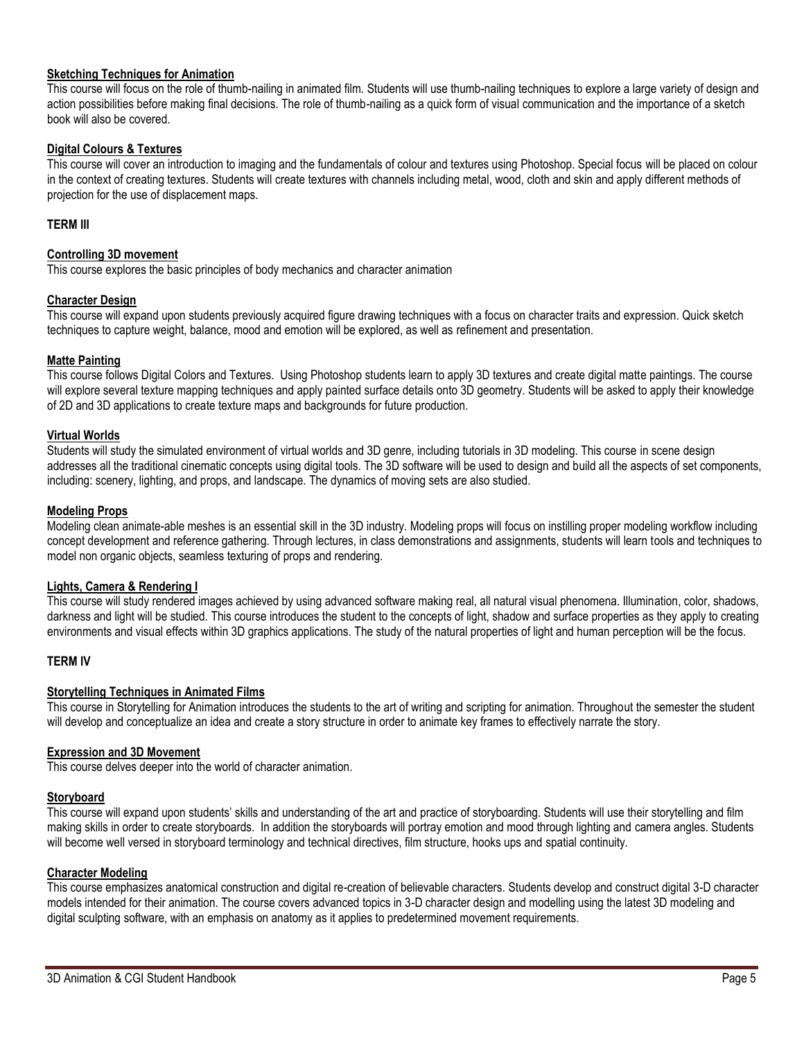#### **Sketching Techniques for Animation**

This course will focus on the role of thumb-nailing in animated film. Students will use thumb-nailing techniques to explore a large variety of design and action possibilities before making final decisions. The role of thumb-nailing as a quick form of visual communication and the importance of a sketch book will also be covered.

## **Digital Colours & Textures**

This course will cover an introduction to imaging and the fundamentals of colour and textures using Photoshop. Special focus will be placed on colour in the context of creating textures. Students will create textures with channels including metal, wood, cloth and skin and apply different methods of projection for the use of displacement maps.

## **TERM III**

#### **Controlling 3D movement**

This course explores the basic principles of body mechanics and character animation

#### **Character Design**

This course will expand upon students previously acquired figure drawing techniques with a focus on character traits and expression. Quick sketch techniques to capture weight, balance, mood and emotion will be explored, as well as refinement and presentation.

#### **Matte Painting**

This course follows Digital Colors and Textures. Using Photoshop students learn to apply 3D textures and create digital matte paintings. The course will explore several texture mapping techniques and apply painted surface details onto 3D geometry. Students will be asked to apply their knowledge of 2D and 3D applications to create texture maps and backgrounds for future production.

#### **Virtual Worlds**

Students will study the simulated environment of virtual worlds and 3D genre, including tutorials in 3D modeling. This course in scene design addresses all the traditional cinematic concepts using digital tools. The 3D software will be used to design and build all the aspects of set components, including: scenery, lighting, and props, and landscape. The dynamics of moving sets are also studied.

#### **Modeling Props**

Modeling clean animate-able meshes is an essential skill in the 3D industry. Modeling props will focus on instilling proper modeling workflow including concept development and reference gathering. Through lectures, in class demonstrations and assignments, students will learn tools and techniques to model non organic objects, seamless texturing of props and rendering.

# **Lights, Camera & Rendering I**

This course will study rendered images achieved by using advanced software making real, all natural visual phenomena. Illumination, color, shadows, darkness and light will be studied. This course introduces the student to the concepts of light, shadow and surface properties as they apply to creating environments and visual effects within 3D graphics applications. The study of the natural properties of light and human perception will be the focus.

#### **TERM IV**

#### **Storytelling Techniques in Animated Films**

This course in Storytelling for Animation introduces the students to the art of writing and scripting for animation. Throughout the semester the student will develop and conceptualize an idea and create a story structure in order to animate key frames to effectively narrate the story.

#### **Expression and 3D Movement**

This course delves deeper into the world of character animation.

#### **Storyboard**

This course will expand upon students' skills and understanding of the art and practice of storyboarding. Students will use their storytelling and film making skills in order to create storyboards. In addition the storyboards will portray emotion and mood through lighting and camera angles. Students will become well versed in storyboard terminology and technical directives, film structure, hooks ups and spatial continuity*.* 

#### **Character Modeling**

This course emphasizes anatomical construction and digital re-creation of believable characters. Students develop and construct digital 3-D character models intended for their animation. The course covers advanced topics in 3-D character design and modelling using the latest 3D modeling and digital sculpting software, with an emphasis on anatomy as it applies to predetermined movement requirements.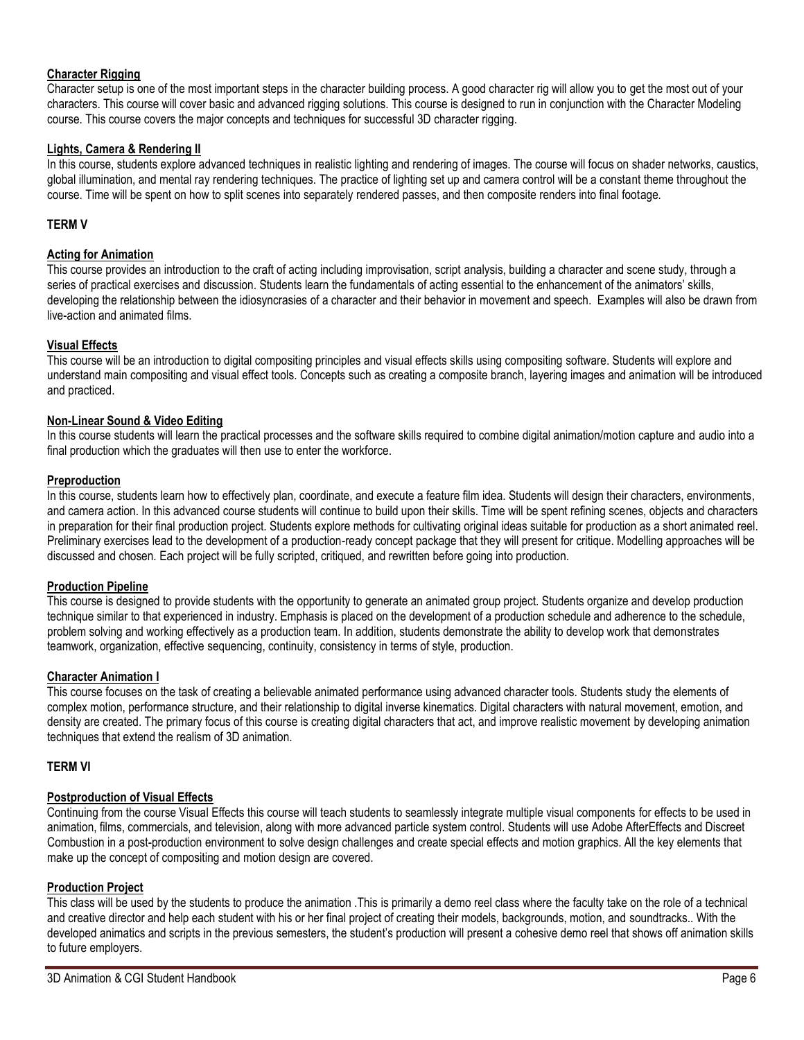## **Character Rigging**

Character setup is one of the most important steps in the character building process. A good character rig will allow you to get the most out of your characters. This course will cover basic and advanced rigging solutions. This course is designed to run in conjunction with the Character Modeling course. This course covers the major concepts and techniques for successful 3D character rigging.

## **Lights, Camera & Rendering II**

In this course, students explore advanced techniques in realistic lighting and rendering of images. The course will focus on shader networks, caustics, global illumination, and mental ray rendering techniques. The practice of lighting set up and camera control will be a constant theme throughout the course. Time will be spent on how to split scenes into separately rendered passes, and then composite renders into final footage*.* 

#### **TERM V**

#### **Acting for Animation**

This course provides an introduction to the craft of acting including improvisation, script analysis, building a character and scene study, through a series of practical exercises and discussion. Students learn the fundamentals of acting essential to the enhancement of the animators' skills, developing the relationship between the idiosyncrasies of a character and their behavior in movement and speech. Examples will also be drawn from live-action and animated films.

#### **Visual Effects**

This course will be an introduction to digital compositing principles and visual effects skills using compositing software. Students will explore and understand main compositing and visual effect tools. Concepts such as creating a composite branch, layering images and animation will be introduced and practiced.

#### **Non-Linear Sound & Video Editing**

In this course students will learn the practical processes and the software skills required to combine digital animation/motion capture and audio into a final production which the graduates will then use to enter the workforce.

#### **Preproduction**

In this course, students learn how to effectively plan, coordinate, and execute a feature film idea. Students will design their characters, environments, and camera action. In this advanced course students will continue to build upon their skills. Time will be spent refining scenes, objects and characters in preparation for their final production project. Students explore methods for cultivating original ideas suitable for production as a short animated reel. Preliminary exercises lead to the development of a production-ready concept package that they will present for critique. Modelling approaches will be discussed and chosen. Each project will be fully scripted, critiqued, and rewritten before going into production.

#### **Production Pipeline**

This course is designed to provide students with the opportunity to generate an animated group project. Students organize and develop production technique similar to that experienced in industry. Emphasis is placed on the development of a production schedule and adherence to the schedule, problem solving and working effectively as a production team. In addition, students demonstrate the ability to develop work that demonstrates teamwork, organization, effective sequencing, continuity, consistency in terms of style, production.

#### **Character Animation I**

This course focuses on the task of creating a believable animated performance using advanced character tools. Students study the elements of complex motion, performance structure, and their relationship to digital inverse kinematics. Digital characters with natural movement, emotion, and density are created. The primary focus of this course is creating digital characters that act, and improve realistic movement by developing animation techniques that extend the realism of 3D animation.

#### **TERM VI**

#### **Postproduction of Visual Effects**

Continuing from the course Visual Effects this course will teach students to seamlessly integrate multiple visual components for effects to be used in animation, films, commercials, and television, along with more advanced particle system control. Students will use Adobe AfterEffects and Discreet Combustion in a post-production environment to solve design challenges and create special effects and motion graphics. All the key elements that make up the concept of compositing and motion design are covered.

#### **Production Project**

This class will be used by the students to produce the animation .This is primarily a demo reel class where the faculty take on the role of a technical and creative director and help each student with his or her final project of creating their models, backgrounds, motion, and soundtracks.. With the developed animatics and scripts in the previous semesters, the student's production will present a cohesive demo reel that shows off animation skills to future employers.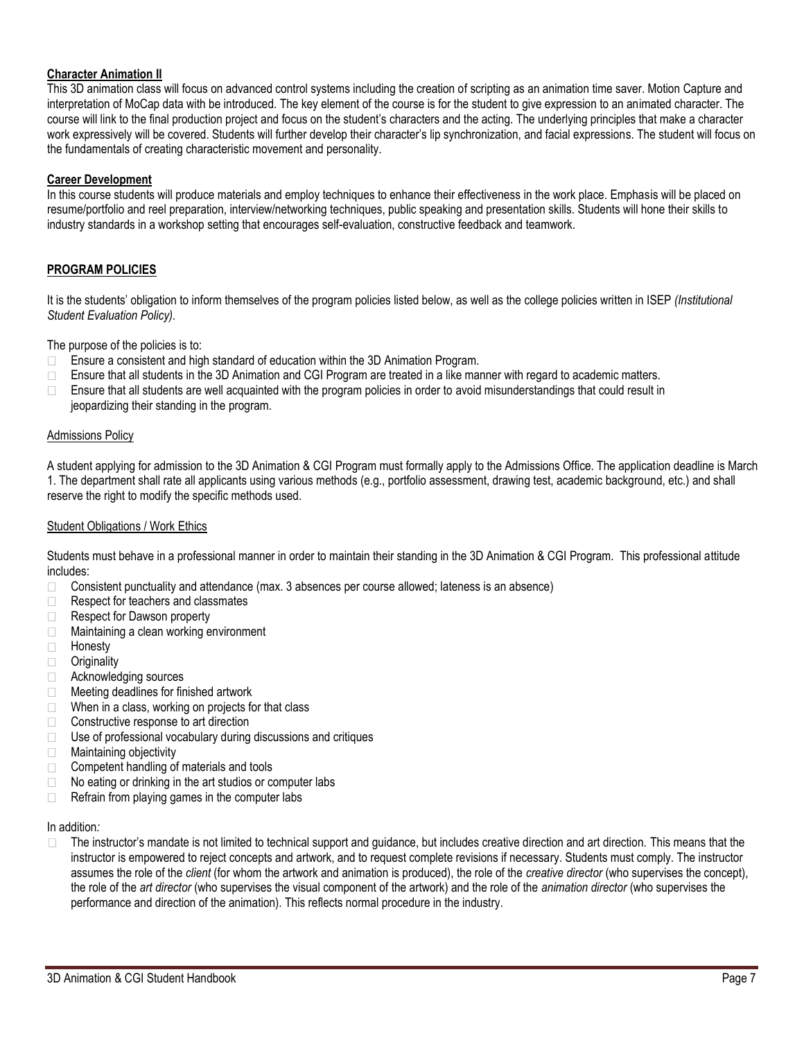## **Character Animation II**

This 3D animation class will focus on advanced control systems including the creation of scripting as an animation time saver. Motion Capture and interpretation of MoCap data with be introduced. The key element of the course is for the student to give expression to an animated character. The course will link to the final production project and focus on the student's characters and the acting. The underlying principles that make a character work expressively will be covered. Students will further develop their character's lip synchronization, and facial expressions. The student will focus on the fundamentals of creating characteristic movement and personality.

#### **Career Development**

In this course students will produce materials and employ techniques to enhance their effectiveness in the work place. Emphasis will be placed on resume/portfolio and reel preparation, interview/networking techniques, public speaking and presentation skills. Students will hone their skills to industry standards in a workshop setting that encourages self-evaluation, constructive feedback and teamwork.

## **PROGRAM POLICIES**

It is the students' obligation to inform themselves of the program policies listed below, as well as the college policies written in ISEP *(Institutional Student Evaluation Policy).* 

The purpose of the policies is to:

- Ensure a consistent and high standard of education within the 3D Animation Program.
- $\Box$  Ensure that all students in the 3D Animation and CGI Program are treated in a like manner with regard to academic matters.
- Ensure that all students are well acquainted with the program policies in order to avoid misunderstandings that could result in  $\Box$ jeopardizing their standing in the program.

#### Admissions Policy

A student applying for admission to the 3D Animation & CGI Program must formally apply to the Admissions Office. The application deadline is March 1. The department shall rate all applicants using various methods (e.g., portfolio assessment, drawing test, academic background, etc.) and shall reserve the right to modify the specific methods used.

#### Student Obligations / Work Ethics

Students must behave in a professional manner in order to maintain their standing in the 3D Animation & CGI Program. This professional attitude includes:

- Consistent punctuality and attendance (max. 3 absences per course allowed; lateness is an absence)  $\Box$
- $\Box$ Respect for teachers and classmates
- Respect for Dawson property  $\Box$
- Maintaining a clean working environment  $\Box$
- Honesty  $\Box$
- **Originality**  $\Box$
- Acknowledging sources
- □ Meeting deadlines for finished artwork
- $\Box$ When in a class, working on projects for that class
- □ Constructive response to art direction
- $\Box$  Use of professional vocabulary during discussions and critiques
- Maintaining objectivity  $\Box$
- $\Box$ Competent handling of materials and tools
- No eating or drinking in the art studios or computer labs  $\Box$
- $\Box$ Refrain from playing games in the computer labs

#### In addition*:*

The instructor's mandate is not limited to technical support and guidance, but includes creative direction and art direction. This means that the instructor is empowered to reject concepts and artwork, and to request complete revisions if necessary. Students must comply. The instructor assumes the role of the *client* (for whom the artwork and animation is produced), the role of the *creative director* (who supervises the concept), the role of the *art director* (who supervises the visual component of the artwork) and the role of the *animation director* (who supervises the performance and direction of the animation). This reflects normal procedure in the industry.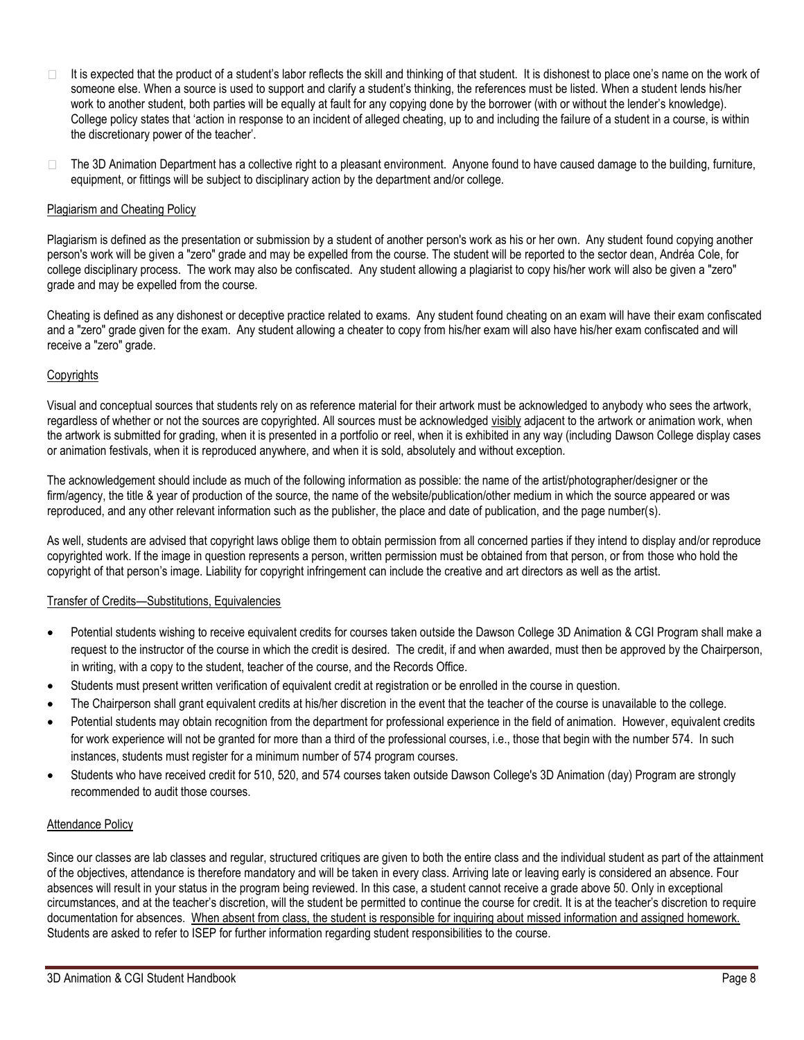- $\Box$ It is expected that the product of a student's labor reflects the skill and thinking of that student. It is dishonest to place one's name on the work of someone else. When a source is used to support and clarify a student's thinking, the references must be listed. When a student lends his/her work to another student, both parties will be equally at fault for any copying done by the borrower (with or without the lender's knowledge). College policy states that 'action in response to an incident of alleged cheating, up to and including the failure of a student in a course, is within the discretionary power of the teacher'.
- $\Box$ The 3D Animation Department has a collective right to a pleasant environment. Anyone found to have caused damage to the building, furniture, equipment, or fittings will be subject to disciplinary action by the department and/or college.

# Plagiarism and Cheating Policy

Plagiarism is defined as the presentation or submission by a student of another person's work as his or her own. Any student found copying another person's work will be given a "zero" grade and may be expelled from the course. The student will be reported to the sector dean, Andréa Cole, for college disciplinary process. The work may also be confiscated. Any student allowing a plagiarist to copy his/her work will also be given a "zero" grade and may be expelled from the course.

Cheating is defined as any dishonest or deceptive practice related to exams. Any student found cheating on an exam will have their exam confiscated and a "zero" grade given for the exam. Any student allowing a cheater to copy from his/her exam will also have his/her exam confiscated and will receive a "zero" grade.

# **Copyrights**

Visual and conceptual sources that students rely on as reference material for their artwork must be acknowledged to anybody who sees the artwork, regardless of whether or not the sources are copyrighted. All sources must be acknowledged visibly adjacent to the artwork or animation work, when the artwork is submitted for grading, when it is presented in a portfolio or reel, when it is exhibited in any way (including Dawson College display cases or animation festivals, when it is reproduced anywhere, and when it is sold, absolutely and without exception.

The acknowledgement should include as much of the following information as possible: the name of the artist/photographer/designer or the firm/agency, the title & year of production of the source, the name of the website/publication/other medium in which the source appeared or was reproduced, and any other relevant information such as the publisher, the place and date of publication, and the page number(s).

As well, students are advised that copyright laws oblige them to obtain permission from all concerned parties if they intend to display and/or reproduce copyrighted work. If the image in question represents a person, written permission must be obtained from that person, or from those who hold the copyright of that person's image. Liability for copyright infringement can include the creative and art directors as well as the artist.

# Transfer of Credits—Substitutions, Equivalencies

- Potential students wishing to receive equivalent credits for courses taken outside the Dawson College 3D Animation & CGI Program shall make a request to the instructor of the course in which the credit is desired. The credit, if and when awarded, must then be approved by the Chairperson, in writing, with a copy to the student, teacher of the course, and the Records Office.
- Students must present written verification of equivalent credit at registration or be enrolled in the course in question.
- The Chairperson shall grant equivalent credits at his/her discretion in the event that the teacher of the course is unavailable to the college.
- Potential students may obtain recognition from the department for professional experience in the field of animation. However, equivalent credits for work experience will not be granted for more than a third of the professional courses, i.e., those that begin with the number 574. In such instances, students must register for a minimum number of 574 program courses.
- Students who have received credit for 510, 520, and 574 courses taken outside Dawson College's 3D Animation (day) Program are strongly recommended to audit those courses.

#### Attendance Policy

Since our classes are lab classes and regular, structured critiques are given to both the entire class and the individual student as part of the attainment of the objectives, attendance is therefore mandatory and will be taken in every class. Arriving late or leaving early is considered an absence. Four absences will result in your status in the program being reviewed. In this case, a student cannot receive a grade above 50. Only in exceptional circumstances, and at the teacher's discretion, will the student be permitted to continue the course for credit. It is at the teacher's discretion to require documentation for absences. When absent from class, the student is responsible for inquiring about missed information and assigned homework. Students are asked to refer to ISEP for further information regarding student responsibilities to the course.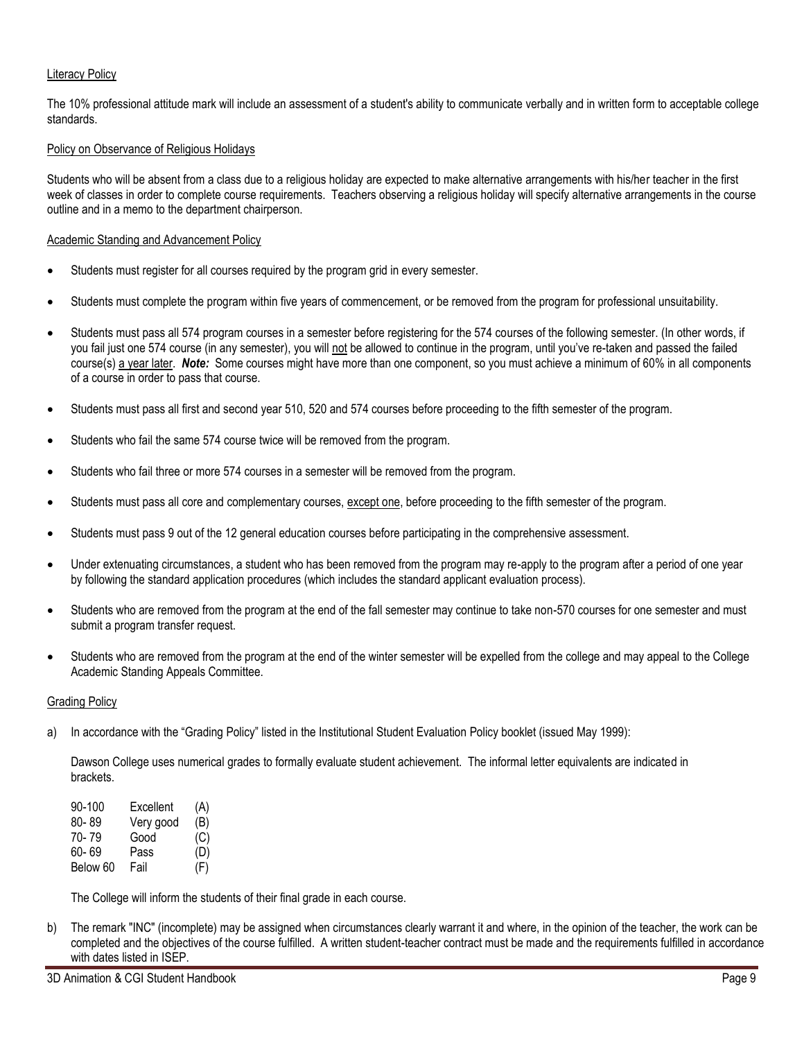## Literacy Policy

The 10% professional attitude mark will include an assessment of a student's ability to communicate verbally and in written form to acceptable college standards.

#### Policy on Observance of Religious Holidays

Students who will be absent from a class due to a religious holiday are expected to make alternative arrangements with his/her teacher in the first week of classes in order to complete course requirements. Teachers observing a religious holiday will specify alternative arrangements in the course outline and in a memo to the department chairperson.

#### Academic Standing and Advancement Policy

- Students must register for all courses required by the program grid in every semester.
- Students must complete the program within five years of commencement, or be removed from the program for professional unsuitability.
- Students must pass all 574 program courses in a semester before registering for the 574 courses of the following semester. (In other words, if you fail just one 574 course (in any semester), you will not be allowed to continue in the program, until you've re-taken and passed the failed course(s) a year later. *Note:* Some courses might have more than one component, so you must achieve a minimum of 60% in all components of a course in order to pass that course.
- Students must pass all first and second year 510, 520 and 574 courses before proceeding to the fifth semester of the program.
- Students who fail the same 574 course twice will be removed from the program.
- Students who fail three or more 574 courses in a semester will be removed from the program.
- Students must pass all core and complementary courses, except one, before proceeding to the fifth semester of the program.
- Students must pass 9 out of the 12 general education courses before participating in the comprehensive assessment.
- Under extenuating circumstances, a student who has been removed from the program may re-apply to the program after a period of one year by following the standard application procedures (which includes the standard applicant evaluation process).
- Students who are removed from the program at the end of the fall semester may continue to take non-570 courses for one semester and must submit a program transfer request.
- Students who are removed from the program at the end of the winter semester will be expelled from the college and may appeal to the College Academic Standing Appeals Committee.

#### Grading Policy

a) In accordance with the "Grading Policy" listed in the Institutional Student Evaluation Policy booklet (issued May 1999):

Dawson College uses numerical grades to formally evaluate student achievement. The informal letter equivalents are indicated in brackets.

| 90-100   | Excellent | (A) |
|----------|-----------|-----|
| 80-89    | Very good | (B) |
| 70-79    | Good      | (C) |
| 60-69    | Pass      | (D) |
| Below 60 | Fail      | (F) |

The College will inform the students of their final grade in each course.

b) The remark "INC" (incomplete) may be assigned when circumstances clearly warrant it and where, in the opinion of the teacher, the work can be completed and the objectives of the course fulfilled. A written student-teacher contract must be made and the requirements fulfilled in accordance with dates listed in ISEP.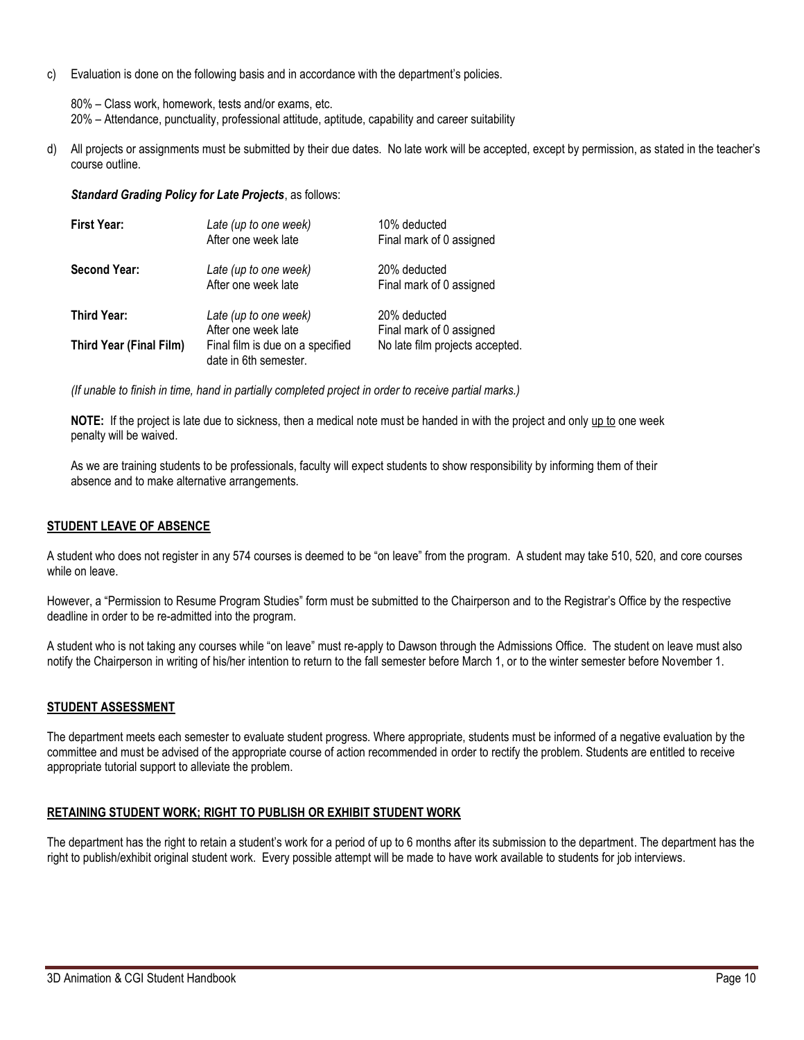c) Evaluation is done on the following basis and in accordance with the department's policies.

80% – Class work, homework, tests and/or exams, etc. 20% – Attendance, punctuality, professional attitude, aptitude, capability and career suitability

d) All projects or assignments must be submitted by their due dates. No late work will be accepted, except by permission, as stated in the teacher's course outline.

*Standard Grading Policy for Late Projects*, as follows:

| <b>First Year:</b>             | Late (up to one week)                                     | 10% deducted                    |  |
|--------------------------------|-----------------------------------------------------------|---------------------------------|--|
|                                | After one week late                                       | Final mark of 0 assigned        |  |
| <b>Second Year:</b>            | Late (up to one week)                                     | 20% deducted                    |  |
|                                | After one week late                                       | Final mark of 0 assigned        |  |
| Third Year:                    | Late (up to one week)                                     | 20% deducted                    |  |
|                                | After one week late                                       | Final mark of 0 assigned        |  |
| <b>Third Year (Final Film)</b> | Final film is due on a specified<br>date in 6th semester. | No late film projects accepted. |  |

*(If unable to finish in time, hand in partially completed project in order to receive partial marks.)*

**NOTE:** If the project is late due to sickness, then a medical note must be handed in with the project and only up to one week penalty will be waived.

As we are training students to be professionals, faculty will expect students to show responsibility by informing them of their absence and to make alternative arrangements.

#### **STUDENT LEAVE OF ABSENCE**

A student who does not register in any 574 courses is deemed to be "on leave" from the program. A student may take 510, 520, and core courses while on leave.

However, a "Permission to Resume Program Studies" form must be submitted to the Chairperson and to the Registrar's Office by the respective deadline in order to be re-admitted into the program.

A student who is not taking any courses while "on leave" must re-apply to Dawson through the Admissions Office. The student on leave must also notify the Chairperson in writing of his/her intention to return to the fall semester before March 1, or to the winter semester before November 1.

#### **STUDENT ASSESSMENT**

The department meets each semester to evaluate student progress. Where appropriate, students must be informed of a negative evaluation by the committee and must be advised of the appropriate course of action recommended in order to rectify the problem. Students are entitled to receive appropriate tutorial support to alleviate the problem.

#### **RETAINING STUDENT WORK; RIGHT TO PUBLISH OR EXHIBIT STUDENT WORK**

The department has the right to retain a student's work for a period of up to 6 months after its submission to the department. The department has the right to publish/exhibit original student work. Every possible attempt will be made to have work available to students for job interviews.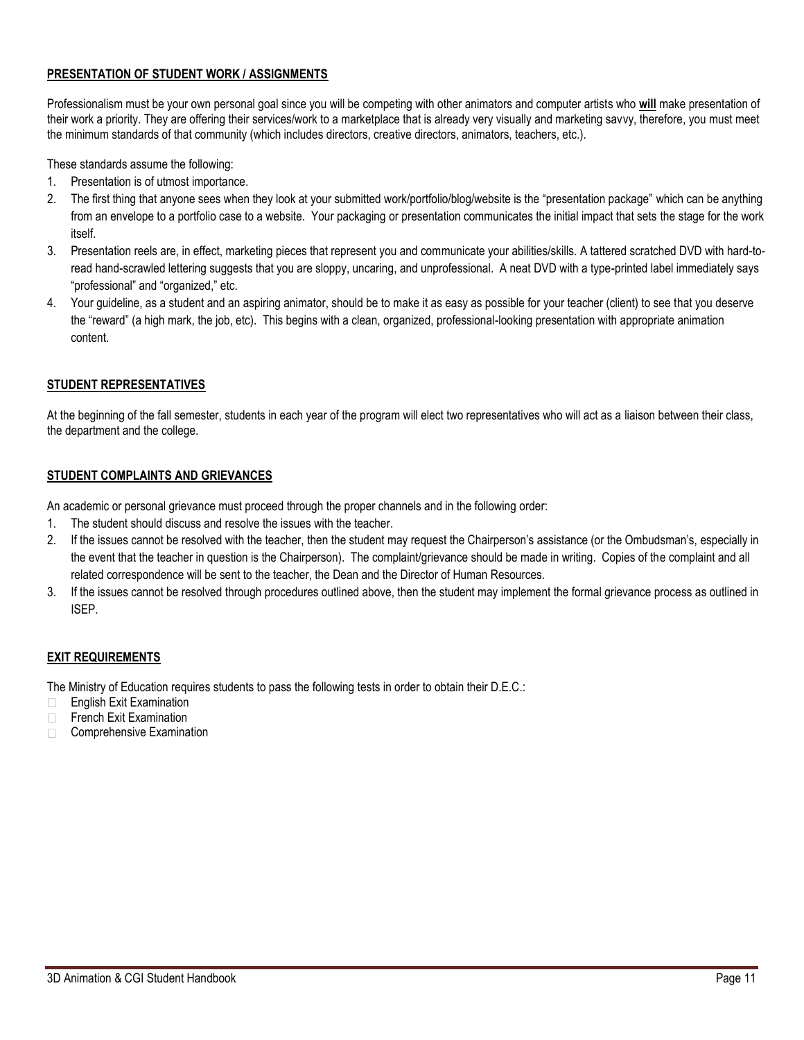# **PRESENTATION OF STUDENT WORK / ASSIGNMENTS**

Professionalism must be your own personal goal since you will be competing with other animators and computer artists who **will** make presentation of their work a priority. They are offering their services/work to a marketplace that is already very visually and marketing savvy, therefore, you must meet the minimum standards of that community (which includes directors, creative directors, animators, teachers, etc.).

These standards assume the following:

- 1. Presentation is of utmost importance.
- 2. The first thing that anyone sees when they look at your submitted work/portfolio/blog/website is the "presentation package" which can be anything from an envelope to a portfolio case to a website. Your packaging or presentation communicates the initial impact that sets the stage for the work itself.
- 3. Presentation reels are, in effect, marketing pieces that represent you and communicate your abilities/skills. A tattered scratched DVD with hard-toread hand-scrawled lettering suggests that you are sloppy, uncaring, and unprofessional. A neat DVD with a type-printed label immediately says "professional" and "organized," etc.
- 4. Your guideline, as a student and an aspiring animator, should be to make it as easy as possible for your teacher (client) to see that you deserve the "reward" (a high mark, the job, etc). This begins with a clean, organized, professional-looking presentation with appropriate animation content.

# **STUDENT REPRESENTATIVES**

At the beginning of the fall semester, students in each year of the program will elect two representatives who will act as a liaison between their class, the department and the college.

# **STUDENT COMPLAINTS AND GRIEVANCES**

An academic or personal grievance must proceed through the proper channels and in the following order:

- 1. The student should discuss and resolve the issues with the teacher.
- 2. If the issues cannot be resolved with the teacher, then the student may request the Chairperson's assistance (or the Ombudsman's, especially in the event that the teacher in question is the Chairperson). The complaint/grievance should be made in writing. Copies of the complaint and all related correspondence will be sent to the teacher, the Dean and the Director of Human Resources.
- 3. If the issues cannot be resolved through procedures outlined above, then the student may implement the formal grievance process as outlined in ISEP.

# **EXIT REQUIREMENTS**

The Ministry of Education requires students to pass the following tests in order to obtain their D.E.C.:

- $\Box$ English Exit Examination
- $\Box$ French Exit Examination
- $\Box$ Comprehensive Examination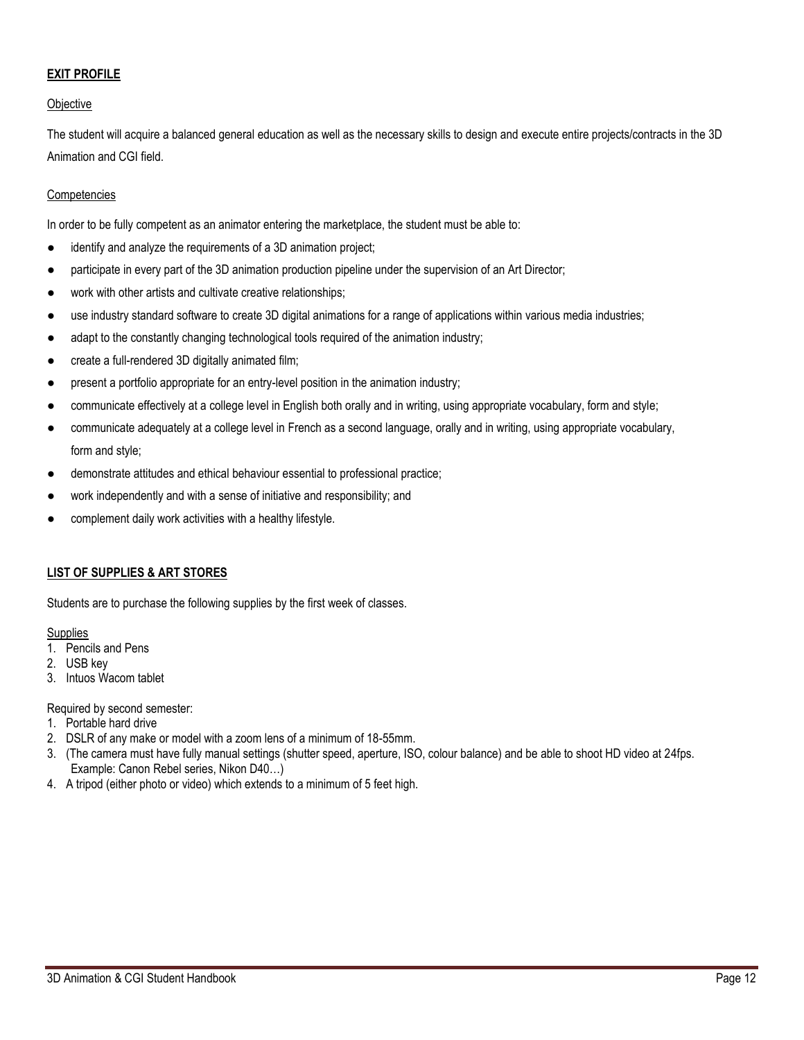# **EXIT PROFILE**

# **Objective**

The student will acquire a balanced general education as well as the necessary skills to design and execute entire projects/contracts in the 3D Animation and CGI field.

## Competencies

In order to be fully competent as an animator entering the marketplace, the student must be able to:

- identify and analyze the requirements of a 3D animation project;
- participate in every part of the 3D animation production pipeline under the supervision of an Art Director;
- work with other artists and cultivate creative relationships;
- use industry standard software to create 3D digital animations for a range of applications within various media industries;
- adapt to the constantly changing technological tools required of the animation industry;
- create a full-rendered 3D digitally animated film;
- present a portfolio appropriate for an entry-level position in the animation industry;
- communicate effectively at a college level in English both orally and in writing, using appropriate vocabulary, form and style;
- communicate adequately at a college level in French as a second language, orally and in writing, using appropriate vocabulary, form and style;
- demonstrate attitudes and ethical behaviour essential to professional practice;
- work independently and with a sense of initiative and responsibility; and
- complement daily work activities with a healthy lifestyle.

#### **LIST OF SUPPLIES & ART STORES**

Students are to purchase the following supplies by the first week of classes.

#### **Supplies**

- 1. Pencils and Pens
- 2. USB key
- 3. Intuos Wacom tablet

Required by second semester:

- 1. Portable hard drive
- 2. DSLR of any make or model with a zoom lens of a minimum of 18-55mm.
- 3. (The camera must have fully manual settings (shutter speed, aperture, ISO, colour balance) and be able to shoot HD video at 24fps. Example: Canon Rebel series, Nikon D40…)
- 4. A tripod (either photo or video) which extends to a minimum of 5 feet high.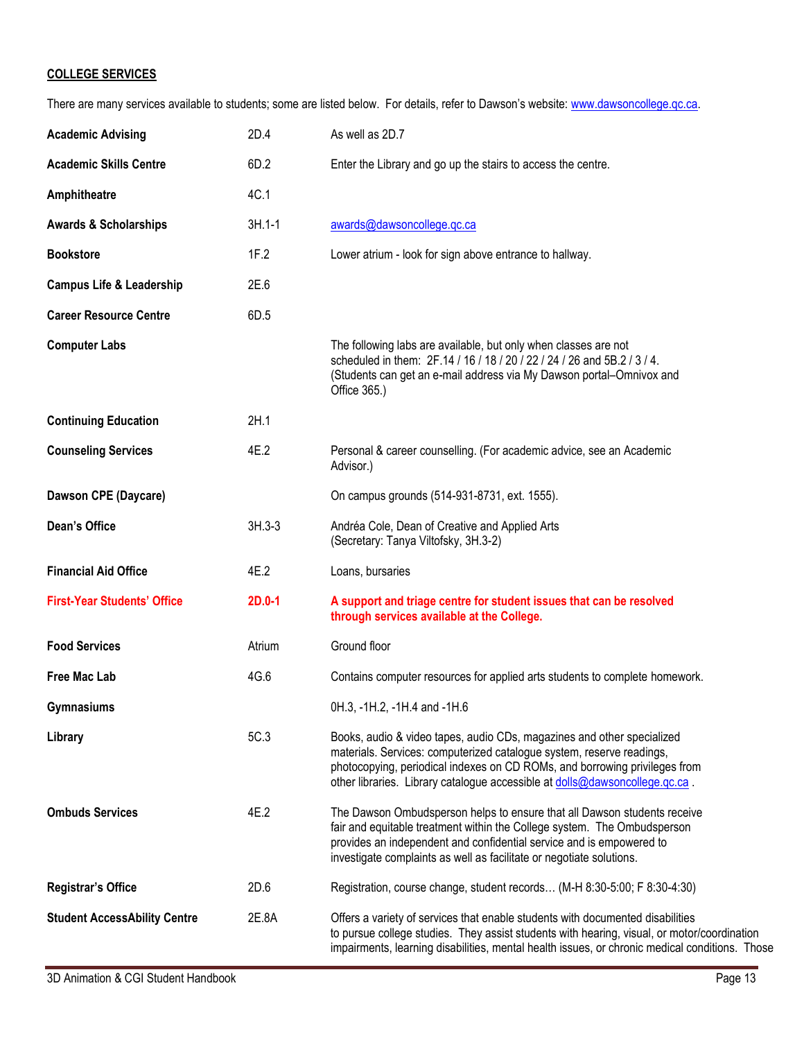# **COLLEGE SERVICES**

There are many services available to students; some are listed below. For details, refer to Dawson's website: www.dawsoncollege.qc.ca.

| <b>Academic Advising</b>            | 2D.4       | As well as 2D.7                                                                                                                                                                                                                                                                                              |
|-------------------------------------|------------|--------------------------------------------------------------------------------------------------------------------------------------------------------------------------------------------------------------------------------------------------------------------------------------------------------------|
| <b>Academic Skills Centre</b>       | 6D.2       | Enter the Library and go up the stairs to access the centre.                                                                                                                                                                                                                                                 |
| Amphitheatre                        | 4C.1       |                                                                                                                                                                                                                                                                                                              |
| <b>Awards &amp; Scholarships</b>    | $3H.1 - 1$ | awards@dawsoncollege.qc.ca                                                                                                                                                                                                                                                                                   |
| <b>Bookstore</b>                    | 1F.2       | Lower atrium - look for sign above entrance to hallway.                                                                                                                                                                                                                                                      |
| <b>Campus Life &amp; Leadership</b> | 2E.6       |                                                                                                                                                                                                                                                                                                              |
| <b>Career Resource Centre</b>       | 6D.5       |                                                                                                                                                                                                                                                                                                              |
| <b>Computer Labs</b>                |            | The following labs are available, but only when classes are not<br>scheduled in them: 2F.14 / 16 / 18 / 20 / 22 / 24 / 26 and 5B.2 / 3 / 4.<br>(Students can get an e-mail address via My Dawson portal-Omnivox and<br>Office 365.)                                                                          |
| <b>Continuing Education</b>         | 2H.1       |                                                                                                                                                                                                                                                                                                              |
| <b>Counseling Services</b>          | 4E.2       | Personal & career counselling. (For academic advice, see an Academic<br>Advisor.)                                                                                                                                                                                                                            |
| Dawson CPE (Daycare)                |            | On campus grounds (514-931-8731, ext. 1555).                                                                                                                                                                                                                                                                 |
| Dean's Office                       | $3H.3-3$   | Andréa Cole, Dean of Creative and Applied Arts<br>(Secretary: Tanya Viltofsky, 3H.3-2)                                                                                                                                                                                                                       |
| <b>Financial Aid Office</b>         | 4E.2       | Loans, bursaries                                                                                                                                                                                                                                                                                             |
| <b>First-Year Students' Office</b>  | $2D.0-1$   | A support and triage centre for student issues that can be resolved<br>through services available at the College.                                                                                                                                                                                            |
| <b>Food Services</b>                | Atrium     | Ground floor                                                                                                                                                                                                                                                                                                 |
| <b>Free Mac Lab</b>                 | 4G.6       | Contains computer resources for applied arts students to complete homework.                                                                                                                                                                                                                                  |
| Gymnasiums                          |            | 0H.3, -1H.2, -1H.4 and -1H.6                                                                                                                                                                                                                                                                                 |
| Library                             | 5C.3       | Books, audio & video tapes, audio CDs, magazines and other specialized<br>materials. Services: computerized catalogue system, reserve readings,<br>photocopying, periodical indexes on CD ROMs, and borrowing privileges from<br>other libraries. Library catalogue accessible at dolls@dawsoncollege.qc.ca. |
| <b>Ombuds Services</b>              | 4E.2       | The Dawson Ombudsperson helps to ensure that all Dawson students receive<br>fair and equitable treatment within the College system. The Ombudsperson<br>provides an independent and confidential service and is empowered to<br>investigate complaints as well as facilitate or negotiate solutions.         |
| <b>Registrar's Office</b>           | 2D.6       | Registration, course change, student records (M-H 8:30-5:00; F 8:30-4:30)                                                                                                                                                                                                                                    |
| <b>Student AccessAbility Centre</b> | 2E.8A      | Offers a variety of services that enable students with documented disabilities<br>to pursue college studies. They assist students with hearing, visual, or motor/coordination<br>impairments, learning disabilities, mental health issues, or chronic medical conditions. Those                              |